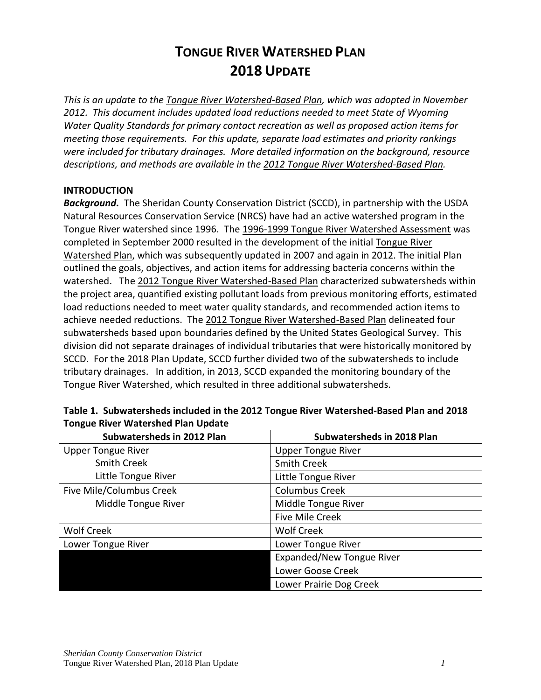# **TONGUE RIVER WATERSHED PLAN 2018 UPDATE**

*This is an update to the Tongue River Watershed-Based Plan, which was adopted in November 2012. This document includes updated load reductions needed to meet State of Wyoming Water Quality Standards for primary contact recreation as well as proposed action items for meeting those requirements. For this update, separate load estimates and priority rankings were included for tributary drainages. More detailed information on the background, resource descriptions, and methods are available in the 2012 Tongue River Watershed-Based Plan.* 

## **INTRODUCTION**

*Background.* The Sheridan County Conservation District (SCCD), in partnership with the USDA Natural Resources Conservation Service (NRCS) have had an active watershed program in the Tongue River watershed since 1996. The 1996-1999 Tongue River Watershed Assessment was completed in September 2000 resulted in the development of the initial Tongue River Watershed Plan, which was subsequently updated in 2007 and again in 2012. The initial Plan outlined the goals, objectives, and action items for addressing bacteria concerns within the watershed. The 2012 Tongue River Watershed-Based Plan characterized subwatersheds within the project area, quantified existing pollutant loads from previous monitoring efforts, estimated load reductions needed to meet water quality standards, and recommended action items to achieve needed reductions. The 2012 Tongue River Watershed-Based Plan delineated four subwatersheds based upon boundaries defined by the United States Geological Survey. This division did not separate drainages of individual tributaries that were historically monitored by SCCD. For the 2018 Plan Update, SCCD further divided two of the subwatersheds to include tributary drainages. In addition, in 2013, SCCD expanded the monitoring boundary of the Tongue River Watershed, which resulted in three additional subwatersheds.

| Subwatersheds in 2012 Plan | Subwatersheds in 2018 Plan |
|----------------------------|----------------------------|
| <b>Upper Tongue River</b>  | <b>Upper Tongue River</b>  |
| <b>Smith Creek</b>         | <b>Smith Creek</b>         |
| Little Tongue River        | Little Tongue River        |
| Five Mile/Columbus Creek   | <b>Columbus Creek</b>      |
| Middle Tongue River        | Middle Tongue River        |
|                            | <b>Five Mile Creek</b>     |
| Wolf Creek                 | <b>Wolf Creek</b>          |
| Lower Tongue River         | Lower Tongue River         |
|                            | Expanded/New Tongue River  |
|                            | Lower Goose Creek          |
|                            | Lower Prairie Dog Creek    |

## **Table 1. Subwatersheds included in the 2012 Tongue River Watershed-Based Plan and 2018 Tongue River Watershed Plan Update**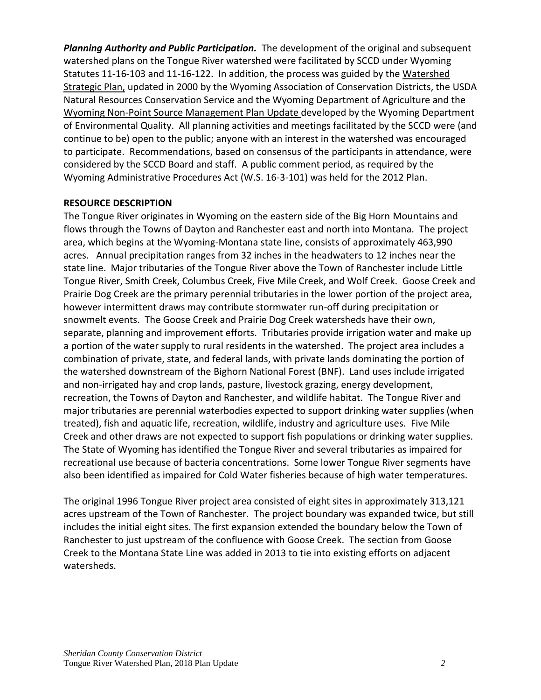*Planning Authority and Public Participation.* The development of the original and subsequent watershed plans on the Tongue River watershed were facilitated by SCCD under Wyoming Statutes 11-16-103 and 11-16-122. In addition, the process was guided by the Watershed Strategic Plan, updated in 2000 by the Wyoming Association of Conservation Districts, the USDA Natural Resources Conservation Service and the Wyoming Department of Agriculture and the Wyoming Non-Point Source Management Plan Update developed by the Wyoming Department of Environmental Quality. All planning activities and meetings facilitated by the SCCD were (and continue to be) open to the public; anyone with an interest in the watershed was encouraged to participate. Recommendations, based on consensus of the participants in attendance, were considered by the SCCD Board and staff. A public comment period, as required by the Wyoming Administrative Procedures Act (W.S. 16-3-101) was held for the 2012 Plan.

## **RESOURCE DESCRIPTION**

The Tongue River originates in Wyoming on the eastern side of the Big Horn Mountains and flows through the Towns of Dayton and Ranchester east and north into Montana. The project area, which begins at the Wyoming-Montana state line, consists of approximately 463,990 acres. Annual precipitation ranges from 32 inches in the headwaters to 12 inches near the state line. Major tributaries of the Tongue River above the Town of Ranchester include Little Tongue River, Smith Creek, Columbus Creek, Five Mile Creek, and Wolf Creek. Goose Creek and Prairie Dog Creek are the primary perennial tributaries in the lower portion of the project area, however intermittent draws may contribute stormwater run-off during precipitation or snowmelt events. The Goose Creek and Prairie Dog Creek watersheds have their own, separate, planning and improvement efforts. Tributaries provide irrigation water and make up a portion of the water supply to rural residents in the watershed. The project area includes a combination of private, state, and federal lands, with private lands dominating the portion of the watershed downstream of the Bighorn National Forest (BNF). Land uses include irrigated and non-irrigated hay and crop lands, pasture, livestock grazing, energy development, recreation, the Towns of Dayton and Ranchester, and wildlife habitat. The Tongue River and major tributaries are perennial waterbodies expected to support drinking water supplies (when treated), fish and aquatic life, recreation, wildlife, industry and agriculture uses. Five Mile Creek and other draws are not expected to support fish populations or drinking water supplies. The State of Wyoming has identified the Tongue River and several tributaries as impaired for recreational use because of bacteria concentrations. Some lower Tongue River segments have also been identified as impaired for Cold Water fisheries because of high water temperatures.

The original 1996 Tongue River project area consisted of eight sites in approximately 313,121 acres upstream of the Town of Ranchester. The project boundary was expanded twice, but still includes the initial eight sites. The first expansion extended the boundary below the Town of Ranchester to just upstream of the confluence with Goose Creek. The section from Goose Creek to the Montana State Line was added in 2013 to tie into existing efforts on adjacent watersheds.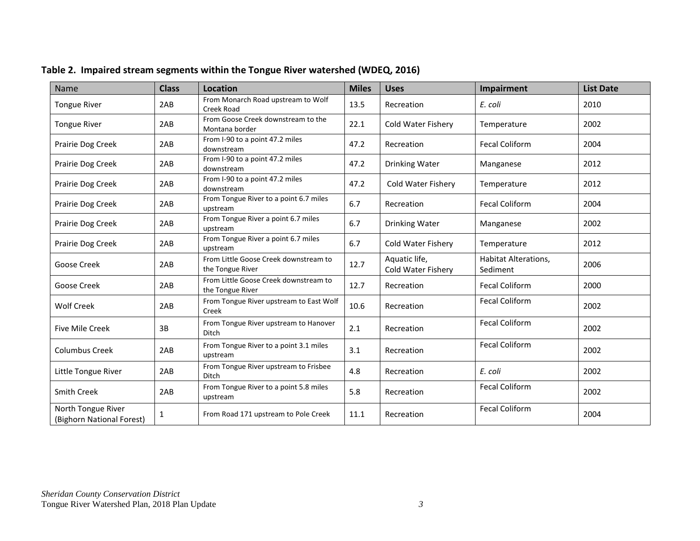| Name                                            | <b>Class</b> | <b>Location</b>                                           | <b>Miles</b> | <b>Uses</b>                         | Impairment                       | <b>List Date</b> |
|-------------------------------------------------|--------------|-----------------------------------------------------------|--------------|-------------------------------------|----------------------------------|------------------|
| <b>Tongue River</b>                             | 2AB          | From Monarch Road upstream to Wolf<br>Creek Road          | 13.5         | Recreation                          | E. coli                          | 2010             |
| <b>Tongue River</b>                             | 2AB          | From Goose Creek downstream to the<br>Montana border      | 22.1         | Cold Water Fishery                  | Temperature                      | 2002             |
| Prairie Dog Creek                               | 2AB          | From I-90 to a point 47.2 miles<br>downstream             | 47.2         | Recreation                          | <b>Fecal Coliform</b>            | 2004             |
| Prairie Dog Creek                               | 2AB          | From I-90 to a point 47.2 miles<br>downstream             | 47.2         | Drinking Water                      | Manganese                        | 2012             |
| Prairie Dog Creek                               | 2AB          | From I-90 to a point 47.2 miles<br>downstream             | 47.2         | Cold Water Fishery                  | Temperature                      | 2012             |
| Prairie Dog Creek                               | 2AB          | From Tongue River to a point 6.7 miles<br>upstream        | 6.7          | Recreation                          | <b>Fecal Coliform</b>            | 2004             |
| Prairie Dog Creek                               | 2AB          | From Tongue River a point 6.7 miles<br>upstream           | 6.7          | Drinking Water                      | Manganese                        | 2002             |
| Prairie Dog Creek                               | 2AB          | From Tongue River a point 6.7 miles<br>upstream           | 6.7          | Cold Water Fishery                  | Temperature                      | 2012             |
| Goose Creek                                     | 2AB          | From Little Goose Creek downstream to<br>the Tongue River | 12.7         | Aquatic life,<br>Cold Water Fishery | Habitat Alterations,<br>Sediment | 2006             |
| Goose Creek                                     | 2AB          | From Little Goose Creek downstream to<br>the Tongue River | 12.7         | Recreation                          | <b>Fecal Coliform</b>            | 2000             |
| <b>Wolf Creek</b>                               | 2AB          | From Tongue River upstream to East Wolf<br>Creek          | 10.6         | Recreation                          | <b>Fecal Coliform</b>            | 2002             |
| <b>Five Mile Creek</b>                          | 3B           | From Tongue River upstream to Hanover<br><b>Ditch</b>     | 2.1          | Recreation                          | <b>Fecal Coliform</b>            | 2002             |
| <b>Columbus Creek</b>                           | 2AB          | From Tongue River to a point 3.1 miles<br>upstream        | 3.1          | Recreation                          | <b>Fecal Coliform</b>            | 2002             |
| Little Tongue River                             | 2AB          | From Tongue River upstream to Frisbee<br><b>Ditch</b>     | 4.8          | Recreation                          | E. coli                          | 2002             |
| <b>Smith Creek</b>                              | 2AB          | From Tongue River to a point 5.8 miles<br>upstream        | 5.8          | Recreation                          | <b>Fecal Coliform</b>            | 2002             |
| North Tongue River<br>(Bighorn National Forest) | 1            | From Road 171 upstream to Pole Creek                      | 11.1         | Recreation                          | <b>Fecal Coliform</b>            | 2004             |

## **Table 2. Impaired stream segments within the Tongue River watershed (WDEQ, 2016)**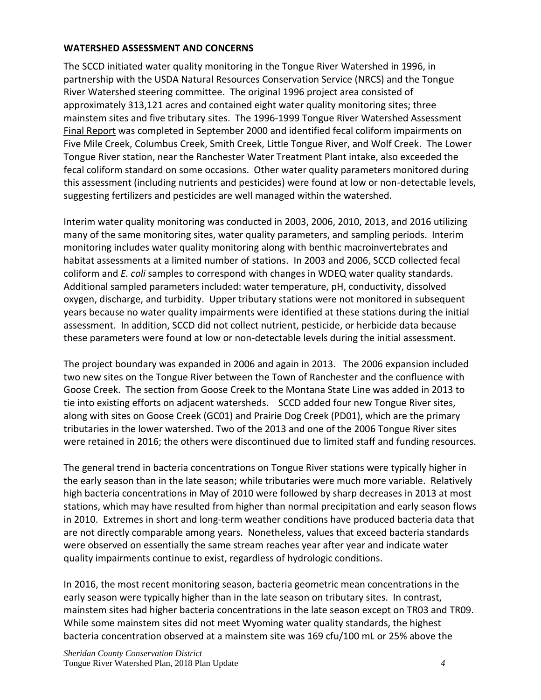## **WATERSHED ASSESSMENT AND CONCERNS**

The SCCD initiated water quality monitoring in the Tongue River Watershed in 1996, in partnership with the USDA Natural Resources Conservation Service (NRCS) and the Tongue River Watershed steering committee. The original 1996 project area consisted of approximately 313,121 acres and contained eight water quality monitoring sites; three mainstem sites and five tributary sites. The 1996-1999 Tongue River Watershed Assessment Final Report was completed in September 2000 and identified fecal coliform impairments on Five Mile Creek, Columbus Creek, Smith Creek, Little Tongue River, and Wolf Creek. The Lower Tongue River station, near the Ranchester Water Treatment Plant intake, also exceeded the fecal coliform standard on some occasions. Other water quality parameters monitored during this assessment (including nutrients and pesticides) were found at low or non-detectable levels, suggesting fertilizers and pesticides are well managed within the watershed.

Interim water quality monitoring was conducted in 2003, 2006, 2010, 2013, and 2016 utilizing many of the same monitoring sites, water quality parameters, and sampling periods. Interim monitoring includes water quality monitoring along with benthic macroinvertebrates and habitat assessments at a limited number of stations. In 2003 and 2006, SCCD collected fecal coliform and *E. coli* samples to correspond with changes in WDEQ water quality standards. Additional sampled parameters included: water temperature, pH, conductivity, dissolved oxygen, discharge, and turbidity. Upper tributary stations were not monitored in subsequent years because no water quality impairments were identified at these stations during the initial assessment. In addition, SCCD did not collect nutrient, pesticide, or herbicide data because these parameters were found at low or non-detectable levels during the initial assessment.

The project boundary was expanded in 2006 and again in 2013. The 2006 expansion included two new sites on the Tongue River between the Town of Ranchester and the confluence with Goose Creek. The section from Goose Creek to the Montana State Line was added in 2013 to tie into existing efforts on adjacent watersheds. SCCD added four new Tongue River sites, along with sites on Goose Creek (GC01) and Prairie Dog Creek (PD01), which are the primary tributaries in the lower watershed. Two of the 2013 and one of the 2006 Tongue River sites were retained in 2016; the others were discontinued due to limited staff and funding resources.

The general trend in bacteria concentrations on Tongue River stations were typically higher in the early season than in the late season; while tributaries were much more variable. Relatively high bacteria concentrations in May of 2010 were followed by sharp decreases in 2013 at most stations, which may have resulted from higher than normal precipitation and early season flows in 2010. Extremes in short and long-term weather conditions have produced bacteria data that are not directly comparable among years. Nonetheless, values that exceed bacteria standards were observed on essentially the same stream reaches year after year and indicate water quality impairments continue to exist, regardless of hydrologic conditions.

In 2016, the most recent monitoring season, bacteria geometric mean concentrations in the early season were typically higher than in the late season on tributary sites. In contrast, mainstem sites had higher bacteria concentrations in the late season except on TR03 and TR09. While some mainstem sites did not meet Wyoming water quality standards, the highest bacteria concentration observed at a mainstem site was 169 cfu/100 mL or 25% above the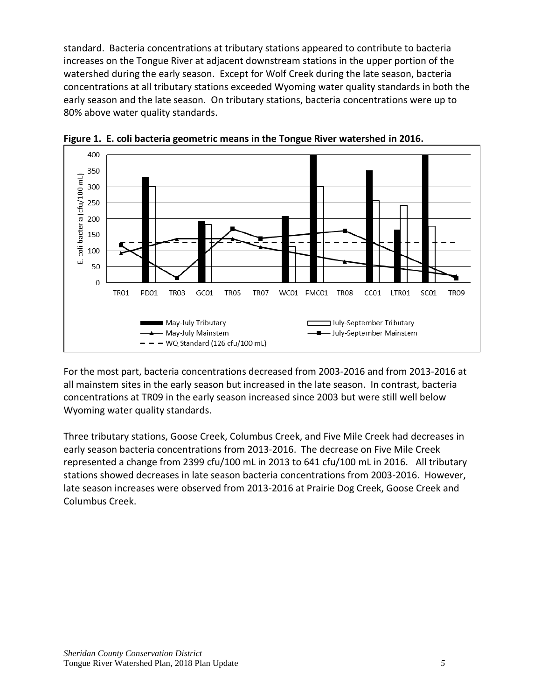standard. Bacteria concentrations at tributary stations appeared to contribute to bacteria increases on the Tongue River at adjacent downstream stations in the upper portion of the watershed during the early season. Except for Wolf Creek during the late season, bacteria concentrations at all tributary stations exceeded Wyoming water quality standards in both the early season and the late season. On tributary stations, bacteria concentrations were up to 80% above water quality standards.



**Figure 1. E. coli bacteria geometric means in the Tongue River watershed in 2016.**

For the most part, bacteria concentrations decreased from 2003-2016 and from 2013-2016 at all mainstem sites in the early season but increased in the late season. In contrast, bacteria concentrations at TR09 in the early season increased since 2003 but were still well below Wyoming water quality standards.

Three tributary stations, Goose Creek, Columbus Creek, and Five Mile Creek had decreases in early season bacteria concentrations from 2013-2016. The decrease on Five Mile Creek represented a change from 2399 cfu/100 mL in 2013 to 641 cfu/100 mL in 2016. All tributary stations showed decreases in late season bacteria concentrations from 2003-2016. However, late season increases were observed from 2013-2016 at Prairie Dog Creek, Goose Creek and Columbus Creek.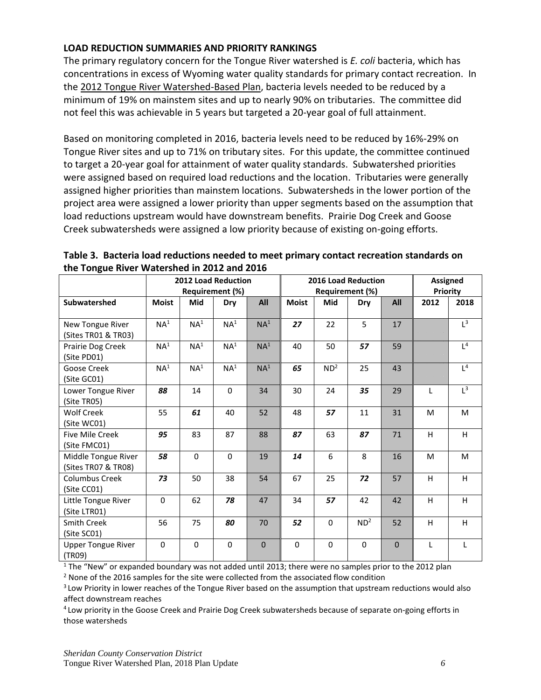## **LOAD REDUCTION SUMMARIES AND PRIORITY RANKINGS**

The primary regulatory concern for the Tongue River watershed is *E. coli* bacteria, which has concentrations in excess of Wyoming water quality standards for primary contact recreation. In the 2012 Tongue River Watershed-Based Plan, bacteria levels needed to be reduced by a minimum of 19% on mainstem sites and up to nearly 90% on tributaries. The committee did not feel this was achievable in 5 years but targeted a 20-year goal of full attainment.

Based on monitoring completed in 2016, bacteria levels need to be reduced by 16%-29% on Tongue River sites and up to 71% on tributary sites. For this update, the committee continued to target a 20-year goal for attainment of water quality standards. Subwatershed priorities were assigned based on required load reductions and the location. Tributaries were generally assigned higher priorities than mainstem locations. Subwatersheds in the lower portion of the project area were assigned a lower priority than upper segments based on the assumption that load reductions upstream would have downstream benefits. Prairie Dog Creek and Goose Creek subwatersheds were assigned a low priority because of existing on-going efforts.

|                                            | <b>2012 Load Reduction</b><br><b>Requirement (%)</b> |                 |                 |                 | <b>2016 Load Reduction</b><br><b>Requirement (%)</b> | <b>Assigned</b><br>Priority |                 |          |              |                |
|--------------------------------------------|------------------------------------------------------|-----------------|-----------------|-----------------|------------------------------------------------------|-----------------------------|-----------------|----------|--------------|----------------|
| Subwatershed                               | <b>Moist</b>                                         | Mid             | Dry             | All             | <b>Moist</b>                                         | Mid                         | Dry             | All      | 2012         | 2018           |
| New Tongue River<br>(Sites TR01 & TR03)    | NA <sup>1</sup>                                      | NA <sup>1</sup> | NA <sup>1</sup> | NA <sup>1</sup> | 27                                                   | 22                          | 5               | 17       |              | $L^3$          |
| Prairie Dog Creek<br>(Site PD01)           | NA <sup>1</sup>                                      | NA <sup>1</sup> | NA <sup>1</sup> | NA <sup>1</sup> | 40                                                   | 50                          | 57              | 59       |              | L <sup>4</sup> |
| Goose Creek<br>(Site GC01)                 | NA <sup>1</sup>                                      | NA <sup>1</sup> | NA <sup>1</sup> | NA <sup>1</sup> | 65                                                   | ND <sup>2</sup>             | 25              | 43       |              | L <sup>4</sup> |
| Lower Tongue River<br>(Site TR05)          | 88                                                   | 14              | $\mathbf 0$     | 34              | 30                                                   | 24                          | 35              | 29       | L            | $L^3$          |
| <b>Wolf Creek</b><br>(Site WC01)           | 55                                                   | 61              | 40              | 52              | 48                                                   | 57                          | 11              | 31       | M            | M              |
| <b>Five Mile Creek</b><br>(Site FMC01)     | 95                                                   | 83              | 87              | 88              | 87                                                   | 63                          | 87              | 71       | H            | H              |
| Middle Tongue River<br>(Sites TR07 & TR08) | 58                                                   | $\Omega$        | 0               | 19              | 14                                                   | 6                           | 8               | 16       | M            | M              |
| <b>Columbus Creek</b><br>(Site CC01)       | 73                                                   | 50              | 38              | 54              | 67                                                   | 25                          | 72              | 57       | H            | H              |
| Little Tongue River<br>(Site LTR01)        | $\mathbf 0$                                          | 62              | 78              | 47              | 34                                                   | 57                          | 42              | 42       | H            | H              |
| <b>Smith Creek</b><br>(Site SC01)          | 56                                                   | 75              | 80              | 70              | 52                                                   | $\Omega$                    | ND <sup>2</sup> | 52       | H            | H              |
| <b>Upper Tongue River</b><br>(TR09)        | $\Omega$                                             | $\Omega$        | $\Omega$        | $\overline{0}$  | $\Omega$                                             | $\Omega$                    | $\mathbf{0}$    | $\Omega$ | $\mathsf{L}$ | $\mathsf{L}$   |

| Table 3. Bacteria load reductions needed to meet primary contact recreation standards on |  |
|------------------------------------------------------------------------------------------|--|
| the Tongue River Watershed in 2012 and 2016                                              |  |

 $1$  The "New" or expanded boundary was not added until 2013; there were no samples prior to the 2012 plan

 $2$  None of the 2016 samples for the site were collected from the associated flow condition

 $3$  Low Priority in lower reaches of the Tongue River based on the assumption that upstream reductions would also affect downstream reaches

4 Low priority in the Goose Creek and Prairie Dog Creek subwatersheds because of separate on-going efforts in those watersheds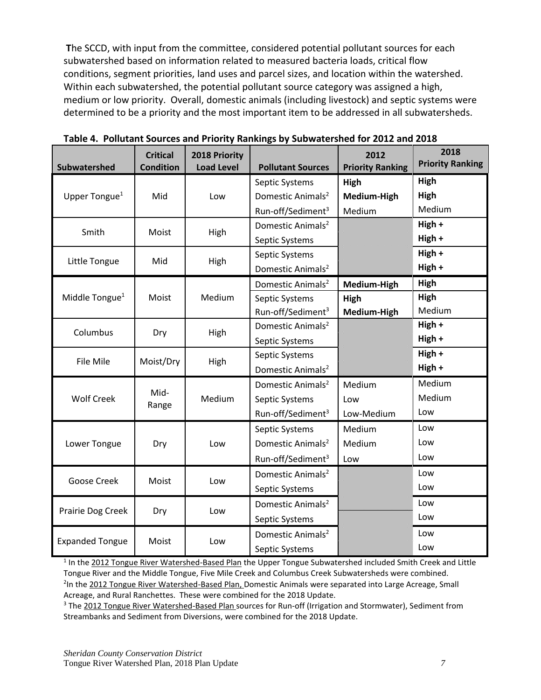**T**he SCCD, with input from the committee, considered potential pollutant sources for each subwatershed based on information related to measured bacteria loads, critical flow conditions, segment priorities, land uses and parcel sizes, and location within the watershed. Within each subwatershed, the potential pollutant source category was assigned a high, medium or low priority. Overall, domestic animals (including livestock) and septic systems were determined to be a priority and the most important item to be addressed in all subwatersheds.

| <b>Subwatershed</b>        | <b>Critical</b><br><b>Condition</b> | 2018 Priority<br><b>Load Level</b> | <b>Pollutant Sources</b>      | 2012<br><b>Priority Ranking</b> | 2018<br><b>Priority Ranking</b> |
|----------------------------|-------------------------------------|------------------------------------|-------------------------------|---------------------------------|---------------------------------|
|                            |                                     |                                    | Septic Systems                | High                            | High                            |
| Upper Tongue <sup>1</sup>  | Mid                                 | Low                                | Domestic Animals <sup>2</sup> | Medium-High                     | High                            |
|                            |                                     |                                    | Run-off/Sediment <sup>3</sup> | Medium                          | Medium                          |
| Smith                      | Moist                               | High                               | Domestic Animals <sup>2</sup> |                                 | High +                          |
|                            |                                     |                                    | Septic Systems                |                                 | High +                          |
|                            |                                     |                                    | Septic Systems                |                                 | High +                          |
| Little Tongue              | Mid                                 | High                               | Domestic Animals <sup>2</sup> |                                 | High +                          |
|                            |                                     |                                    | Domestic Animals <sup>2</sup> | Medium-High                     | High                            |
| Middle Tongue <sup>1</sup> | Moist                               | Medium                             | Septic Systems                | High                            | High                            |
|                            |                                     |                                    | Run-off/Sediment <sup>3</sup> | Medium-High                     | Medium                          |
| Columbus                   | Dry                                 | High                               | Domestic Animals <sup>2</sup> |                                 | High +                          |
|                            |                                     |                                    | Septic Systems                |                                 | High +                          |
| File Mile                  | Moist/Dry                           | High                               | Septic Systems                |                                 | High +                          |
|                            |                                     |                                    | Domestic Animals <sup>2</sup> |                                 | High +                          |
|                            |                                     |                                    | Domestic Animals <sup>2</sup> | Medium                          | Medium                          |
| <b>Wolf Creek</b>          | Mid-<br>Range                       | Medium                             | Septic Systems                | Low                             | Medium                          |
|                            |                                     |                                    | Run-off/Sediment <sup>3</sup> | Low-Medium                      | Low                             |
|                            |                                     |                                    | Septic Systems                | Medium                          | Low                             |
| Lower Tongue               | Dry                                 | Low                                | Domestic Animals <sup>2</sup> | Medium                          | Low                             |
|                            |                                     |                                    | Run-off/Sediment <sup>3</sup> | Low                             | Low                             |
|                            |                                     |                                    | Domestic Animals <sup>2</sup> |                                 | Low                             |
| Goose Creek                | Moist                               | Low                                | Septic Systems                |                                 | Low                             |
|                            |                                     |                                    | Domestic Animals <sup>2</sup> |                                 | Low                             |
| Prairie Dog Creek          | Dry                                 | Low                                | Septic Systems                |                                 | Low                             |
|                            | Moist                               |                                    | Domestic Animals <sup>2</sup> |                                 | Low                             |
| <b>Expanded Tongue</b>     |                                     | Low                                | Septic Systems                |                                 | Low                             |

**Table 4. Pollutant Sources and Priority Rankings by Subwatershed for 2012 and 2018**

<sup>1</sup> In the 2012 Tongue River Watershed-Based Plan the Upper Tongue Subwatershed included Smith Creek and Little Tongue River and the Middle Tongue, Five Mile Creek and Columbus Creek Subwatersheds were combined. <sup>2</sup>In the 2012 Tongue River Watershed-Based Plan, Domestic Animals were separated into Large Acreage, Small Acreage, and Rural Ranchettes. These were combined for the 2018 Update.

<sup>3</sup> The 2012 Tongue River Watershed-Based Plan sources for Run-off (Irrigation and Stormwater), Sediment from Streambanks and Sediment from Diversions, were combined for the 2018 Update.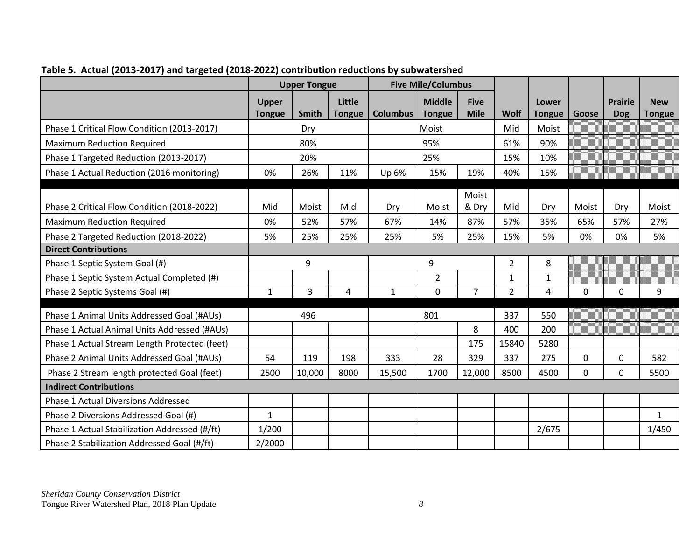|                                               |                               | <b>Upper Tongue</b> |                         |                 | <b>Five Mile/Columbus</b>      |                            |                |                        |              |                              |                      |
|-----------------------------------------------|-------------------------------|---------------------|-------------------------|-----------------|--------------------------------|----------------------------|----------------|------------------------|--------------|------------------------------|----------------------|
|                                               | <b>Upper</b><br><b>Tongue</b> | <b>Smith</b>        | Little<br><b>Tongue</b> | <b>Columbus</b> | <b>Middle</b><br><b>Tongue</b> | <b>Five</b><br><b>Mile</b> | Wolf           | Lower<br><b>Tongue</b> | Goose        | <b>Prairie</b><br><b>Dog</b> | <b>New</b><br>Tongue |
| Phase 1 Critical Flow Condition (2013-2017)   |                               | Dry                 |                         |                 | Moist                          |                            | Mid            | Moist                  |              |                              |                      |
| <b>Maximum Reduction Required</b>             |                               | 80%                 |                         |                 | 95%                            |                            | 61%            | 90%                    |              |                              |                      |
| Phase 1 Targeted Reduction (2013-2017)        |                               | 20%                 |                         |                 | 25%                            |                            | 15%            | 10%                    |              |                              |                      |
| Phase 1 Actual Reduction (2016 monitoring)    | 0%                            | 26%                 | 11%                     | Up 6%           | 15%                            | 19%                        | 40%            | 15%                    |              |                              |                      |
| Phase 2 Critical Flow Condition (2018-2022)   | Mid                           | Moist               | Mid                     | Dry             | Moist                          | Moist<br>& Dry             | Mid            | Dry                    | Moist        | Dry                          | Moist                |
| <b>Maximum Reduction Required</b>             | 0%                            | 52%                 | 57%                     | 67%             | 14%                            | 87%                        | 57%            | 35%                    | 65%          | 57%                          | 27%                  |
| Phase 2 Targeted Reduction (2018-2022)        | 5%                            | 25%                 | 25%                     | 25%             | 5%                             | 25%                        | 15%            | 5%                     | 0%           | 0%                           | 5%                   |
| <b>Direct Contributions</b>                   |                               |                     |                         |                 |                                |                            |                |                        |              |                              |                      |
| Phase 1 Septic System Goal (#)                |                               | 9                   |                         |                 | 9                              |                            | $\overline{2}$ | 8                      |              |                              |                      |
| Phase 1 Septic System Actual Completed (#)    |                               |                     |                         |                 | $\overline{2}$                 |                            | $\mathbf{1}$   | $\mathbf{1}$           |              |                              |                      |
| Phase 2 Septic Systems Goal (#)               | $\mathbf{1}$                  | 3                   | 4                       | $\mathbf{1}$    | $\mathbf 0$                    | $\overline{7}$             | $\overline{2}$ | 4                      | $\mathbf{0}$ | 0                            | 9                    |
| Phase 1 Animal Units Addressed Goal (#AUs)    |                               | 496                 |                         | 801             |                                | 337                        | 550            |                        |              |                              |                      |
| Phase 1 Actual Animal Units Addressed (#AUs)  |                               |                     |                         |                 |                                | 8                          | 400            | 200                    |              |                              |                      |
| Phase 1 Actual Stream Length Protected (feet) |                               |                     |                         |                 |                                | 175                        | 15840          | 5280                   |              |                              |                      |
| Phase 2 Animal Units Addressed Goal (#AUs)    | 54                            | 119                 | 198                     | 333             | 28                             | 329                        | 337            | 275                    | 0            | 0                            | 582                  |
| Phase 2 Stream length protected Goal (feet)   | 2500                          | 10,000              | 8000                    | 15,500          | 1700                           | 12,000                     | 8500           | 4500                   | 0            | 0                            | 5500                 |
| <b>Indirect Contributions</b>                 |                               |                     |                         |                 |                                |                            |                |                        |              |                              |                      |
| <b>Phase 1 Actual Diversions Addressed</b>    |                               |                     |                         |                 |                                |                            |                |                        |              |                              |                      |
| Phase 2 Diversions Addressed Goal (#)         | $\mathbf{1}$                  |                     |                         |                 |                                |                            |                |                        |              |                              | $\mathbf{1}$         |
| Phase 1 Actual Stabilization Addressed (#/ft) | 1/200                         |                     |                         |                 |                                |                            |                | 2/675                  |              |                              | 1/450                |
| Phase 2 Stabilization Addressed Goal (#/ft)   | 2/2000                        |                     |                         |                 |                                |                            |                |                        |              |                              |                      |

## **Table 5. Actual (2013-2017) and targeted (2018-2022) contribution reductions by subwatershed**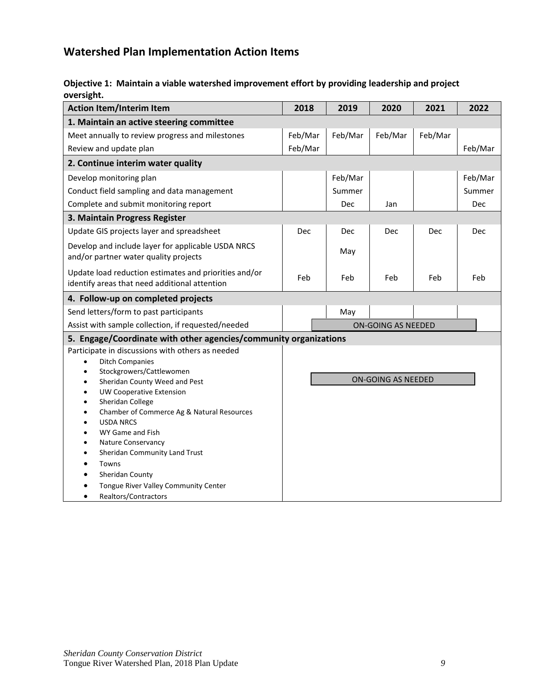## **Watershed Plan Implementation Action Items**

## **Objective 1: Maintain a viable watershed improvement effort by providing leadership and project oversight.**

| <b>Action Item/Interim Item</b>                                                                        | 2018    | 2019       | 2020               | 2021    | 2022    |
|--------------------------------------------------------------------------------------------------------|---------|------------|--------------------|---------|---------|
| 1. Maintain an active steering committee                                                               |         |            |                    |         |         |
| Meet annually to review progress and milestones                                                        | Feb/Mar | Feb/Mar    | Feb/Mar            | Feb/Mar |         |
| Review and update plan                                                                                 | Feb/Mar |            |                    |         | Feb/Mar |
| 2. Continue interim water quality                                                                      |         |            |                    |         |         |
| Develop monitoring plan                                                                                |         | Feb/Mar    |                    |         | Feb/Mar |
| Conduct field sampling and data management                                                             |         | Summer     |                    |         | Summer  |
| Complete and submit monitoring report                                                                  |         | <b>Dec</b> | Jan                |         | Dec     |
| 3. Maintain Progress Register                                                                          |         |            |                    |         |         |
| Update GIS projects layer and spreadsheet                                                              | Dec     | <b>Dec</b> | Dec                | Dec     | Dec     |
| Develop and include layer for applicable USDA NRCS<br>and/or partner water quality projects            |         | May        |                    |         |         |
| Update load reduction estimates and priorities and/or<br>identify areas that need additional attention | Feb     | Feb        | Feb                | Feb     | Feb     |
| 4. Follow-up on completed projects                                                                     |         |            |                    |         |         |
| Send letters/form to past participants                                                                 |         | May        |                    |         |         |
| Assist with sample collection, if requested/needed                                                     |         |            | ON-GOING AS NEEDED |         |         |
| 5. Engage/Coordinate with other agencies/community organizations                                       |         |            |                    |         |         |
| Participate in discussions with others as needed<br><b>Ditch Companies</b>                             |         |            |                    |         |         |
| Stockgrowers/Cattlewomen<br>Sheridan County Weed and Pest<br>$\bullet$                                 |         |            | ON-GOING AS NEEDED |         |         |
| <b>UW Cooperative Extension</b>                                                                        |         |            |                    |         |         |
| Sheridan College                                                                                       |         |            |                    |         |         |
| Chamber of Commerce Ag & Natural Resources                                                             |         |            |                    |         |         |
| <b>USDA NRCS</b><br>WY Game and Fish                                                                   |         |            |                    |         |         |
| Nature Conservancy                                                                                     |         |            |                    |         |         |
| Sheridan Community Land Trust                                                                          |         |            |                    |         |         |
| Towns                                                                                                  |         |            |                    |         |         |
| Sheridan County                                                                                        |         |            |                    |         |         |
| Tongue River Valley Community Center                                                                   |         |            |                    |         |         |
| Realtors/Contractors                                                                                   |         |            |                    |         |         |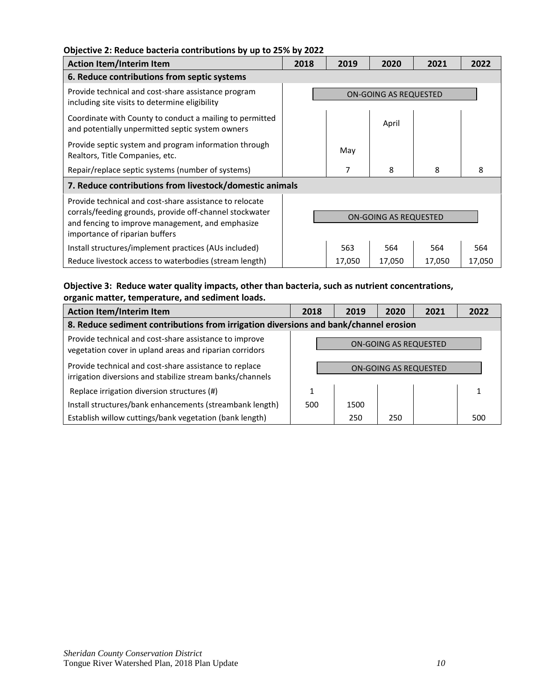### **Objective 2: Reduce bacteria contributions by up to 25% by 2022**

| <b>Action Item/Interim Item</b>                                                                                                                                                                          | 2018                         | 2019   | 2020   | 2021   | 2022   |  |
|----------------------------------------------------------------------------------------------------------------------------------------------------------------------------------------------------------|------------------------------|--------|--------|--------|--------|--|
| 6. Reduce contributions from septic systems                                                                                                                                                              |                              |        |        |        |        |  |
| Provide technical and cost-share assistance program<br>including site visits to determine eligibility                                                                                                    | ON-GOING AS REQUESTED        |        |        |        |        |  |
| Coordinate with County to conduct a mailing to permitted<br>and potentially unpermitted septic system owners                                                                                             |                              |        | April  |        |        |  |
| Provide septic system and program information through<br>Realtors, Title Companies, etc.                                                                                                                 |                              | May    |        |        |        |  |
| Repair/replace septic systems (number of systems)                                                                                                                                                        |                              | 7      | 8      | 8      | 8      |  |
| 7. Reduce contributions from livestock/domestic animals                                                                                                                                                  |                              |        |        |        |        |  |
| Provide technical and cost-share assistance to relocate<br>corrals/feeding grounds, provide off-channel stockwater<br>and fencing to improve management, and emphasize<br>importance of riparian buffers | <b>ON-GOING AS REQUESTED</b> |        |        |        |        |  |
| Install structures/implement practices (AUs included)                                                                                                                                                    |                              | 563    | 564    | 564    | 564    |  |
| Reduce livestock access to waterbodies (stream length)                                                                                                                                                   |                              | 17,050 | 17,050 | 17,050 | 17,050 |  |

## **Objective 3: Reduce water quality impacts, other than bacteria, such as nutrient concentrations, organic matter, temperature, and sediment loads.**

| <b>Action Item/Interim Item</b>                                                                                     | 2018                         | 2019 | 2020 | 2021 | 2022 |  |  |  |  |
|---------------------------------------------------------------------------------------------------------------------|------------------------------|------|------|------|------|--|--|--|--|
| 8. Reduce sediment contributions from irrigation diversions and bank/channel erosion                                |                              |      |      |      |      |  |  |  |  |
| Provide technical and cost-share assistance to improve<br>vegetation cover in upland areas and riparian corridors   | <b>ON-GOING AS REQUESTED</b> |      |      |      |      |  |  |  |  |
| Provide technical and cost-share assistance to replace<br>irrigation diversions and stabilize stream banks/channels | <b>ON-GOING AS REQUESTED</b> |      |      |      |      |  |  |  |  |
| Replace irrigation diversion structures (#)                                                                         |                              |      |      |      |      |  |  |  |  |
| Install structures/bank enhancements (streambank length)                                                            | 500                          | 1500 |      |      |      |  |  |  |  |
| Establish willow cuttings/bank vegetation (bank length)                                                             |                              | 250  | 250  |      | 500  |  |  |  |  |